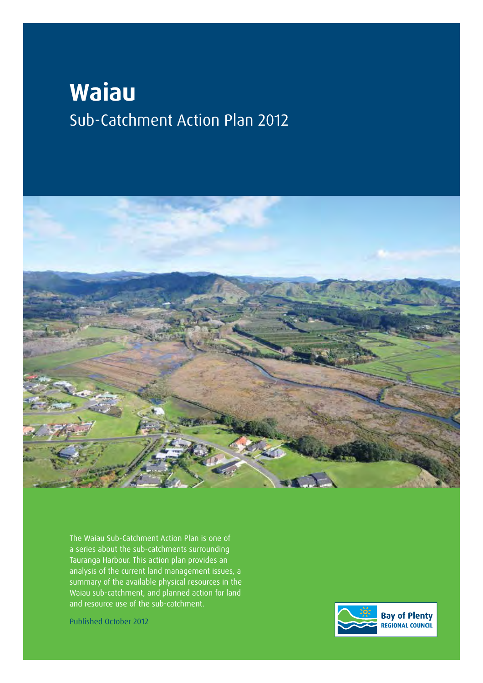# **Waiau** Sub-Catchment Action Plan 2012



The Waiau Sub-Catchment Action Plan is one of a series about the sub-catchments surrounding Tauranga Harbour. This action plan provides an analysis of the current land management issues, a summary of the available physical resources in the Waiau sub-catchment, and planned action for land and resource use of the sub-catchment.

Published October 2012

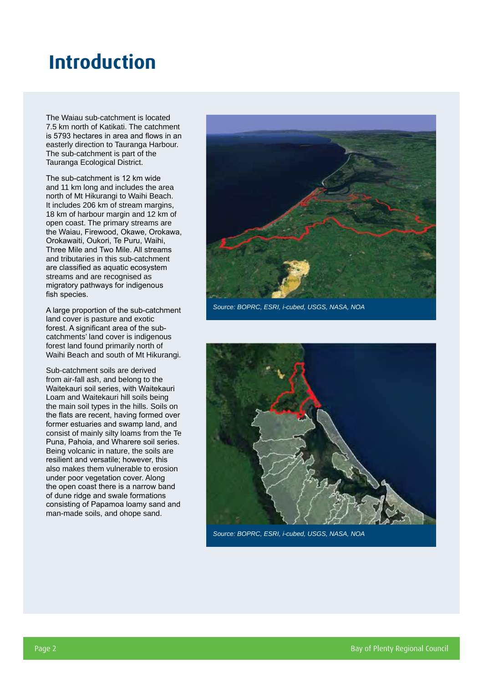### **Introduction**

The Waiau sub-catchment is located 7.5 km north of Katikati. The catchment is 5793 hectares in area and flows in an easterly direction to Tauranga Harbour. The sub-catchment is part of the Tauranga Ecological District.

The sub-catchment is 12 km wide and 11 km long and includes the area north of Mt Hikurangi to Waihi Beach. It includes 206 km of stream margins, 18 km of harbour margin and 12 km of open coast. The primary streams are the Waiau, Firewood, Okawe, Orokawa, Orokawaiti, Oukori, Te Puru, Waihi, Three Mile and Two Mile. All streams and tributaries in this sub-catchment are classified as aquatic ecosystem streams and are recognised as migratory pathways for indigenous fish species.

A large proportion of the sub-catchment land cover is pasture and exotic forest. A significant area of the subcatchments' land cover is indigenous forest land found primarily north of Waihi Beach and south of Mt Hikurangi.

Sub-catchment soils are derived from air-fall ash, and belong to the Waitekauri soil series, with Waitekauri Loam and Waitekauri hill soils being the main soil types in the hills. Soils on the flats are recent, having formed over former estuaries and swamp land, and consist of mainly silty loams from the Te Puna, Pahoia, and Wharere soil series. Being volcanic in nature, the soils are resilient and versatile; however, this also makes them vulnerable to erosion under poor vegetation cover. Along the open coast there is a narrow band of dune ridge and swale formations consisting of Papamoa loamy sand and man-made soils, and ohope sand.



*Source: BOPRC, ESRI, i-cubed, USGS, NASA, NOA*



*Source: BOPRC, ESRI, i-cubed, USGS, NASA, NOA*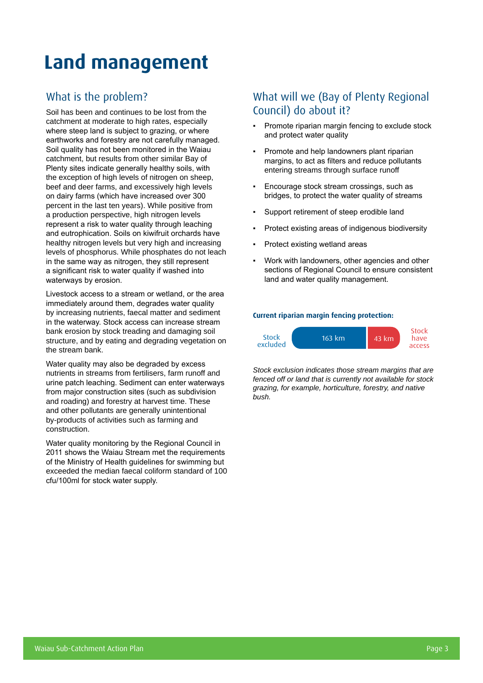### **Land management**

#### What is the problem?

Soil has been and continues to be lost from the catchment at moderate to high rates, especially where steep land is subject to grazing, or where earthworks and forestry are not carefully managed. Soil quality has not been monitored in the Waiau catchment, but results from other similar Bay of Plenty sites indicate generally healthy soils, with the exception of high levels of nitrogen on sheep, beef and deer farms, and excessively high levels on dairy farms (which have increased over 300 percent in the last ten years). While positive from a production perspective, high nitrogen levels represent a risk to water quality through leaching and eutrophication. Soils on kiwifruit orchards have healthy nitrogen levels but very high and increasing levels of phosphorus. While phosphates do not leach in the same way as nitrogen, they still represent a significant risk to water quality if washed into waterways by erosion.

Livestock access to a stream or wetland, or the area immediately around them, degrades water quality by increasing nutrients, faecal matter and sediment in the waterway. Stock access can increase stream bank erosion by stock treading and damaging soil structure, and by eating and degrading vegetation on the stream bank.

Water quality may also be degraded by excess nutrients in streams from fertilisers, farm runoff and urine patch leaching. Sediment can enter waterways from major construction sites (such as subdivision and roading) and forestry at harvest time. These and other pollutants are generally unintentional by-products of activities such as farming and construction.

Water quality monitoring by the Regional Council in 2011 shows the Waiau Stream met the requirements of the Ministry of Health guidelines for swimming but exceeded the median faecal coliform standard of 100 cfu/100ml for stock water supply.

#### What will we (Bay of Plenty Regional Council) do about it?

- Promote riparian margin fencing to exclude stock and protect water quality
- Promote and help landowners plant riparian margins, to act as filters and reduce pollutants entering streams through surface runoff
- Encourage stock stream crossings, such as bridges, to protect the water quality of streams
- Support retirement of steep erodible land
- Protect existing areas of indigenous biodiversity
- Protect existing wetland areas
- Work with landowners, other agencies and other sections of Regional Council to ensure consistent land and water quality management.

#### **Current riparian margin fencing protection:**



*Stock exclusion indicates those stream margins that are fenced off or land that is currently not available for stock grazing, for example, horticulture, forestry, and native bush.*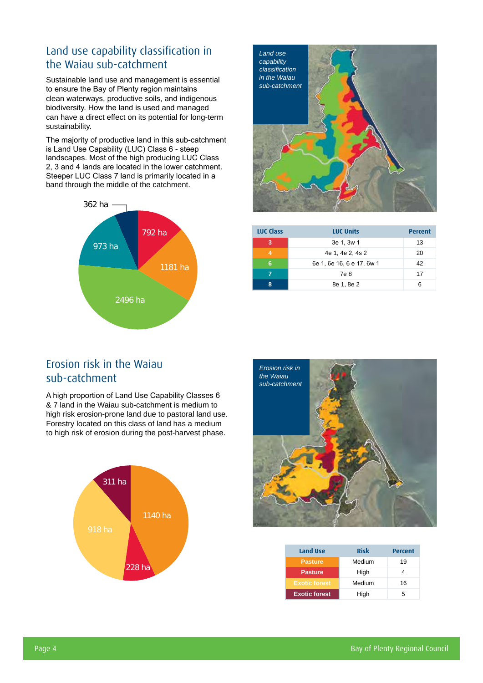### Land use capability classification in the Waiau sub-catchment

Sustainable land use and management is essential to ensure the Bay of Plenty region maintains clean waterways, productive soils, and indigenous biodiversity. How the land is used and managed can have a direct effect on its potential for long-term sustainability.

The majority of productive land in this sub-catchment is Land Use Capability (LUC) Class 6 - steep landscapes. Most of the high producing LUC Class 2, 3 and 4 lands are located in the lower catchment. Steeper LUC Class 7 land is primarily located in a band through the middle of the catchment.





| <b>LUC Class</b> | <b>LUC Units</b>          | <b>Percent</b> |
|------------------|---------------------------|----------------|
| 3                | 3e 1, 3w 1                | 13             |
| 4                | 4e 1, 4e 2, 4s 2          | 20             |
| 6                | 6e 1, 6e 16, 6 e 17, 6w 1 | 42             |
|                  | 7e 8                      | 17             |
| 8                | 8e 1, 8e 2                | 6              |

#### Erosion risk in the Waiau sub-catchment

A high proportion of Land Use Capability Classes 6 & 7 land in the Waiau sub-catchment is medium to high risk erosion-prone land due to pastoral land use. Forestry located on this class of land has a medium to high risk of erosion during the post-harvest phase.





| <b>Land Use</b>      | <b>Risk</b> | <b>Percent</b> |  |  |
|----------------------|-------------|----------------|--|--|
| <b>Pasture</b>       | Medium      | 19             |  |  |
| <b>Pasture</b>       | High        |                |  |  |
| <b>Exotic forest</b> | Medium      | 16             |  |  |
| <b>Exotic forest</b> | High        | 5              |  |  |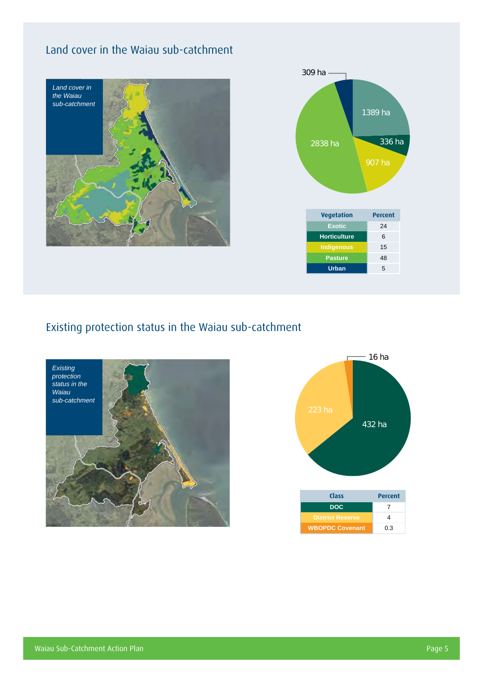### Land cover in the Waiau sub-catchment





### Existing protection status in the Waiau sub-catchment



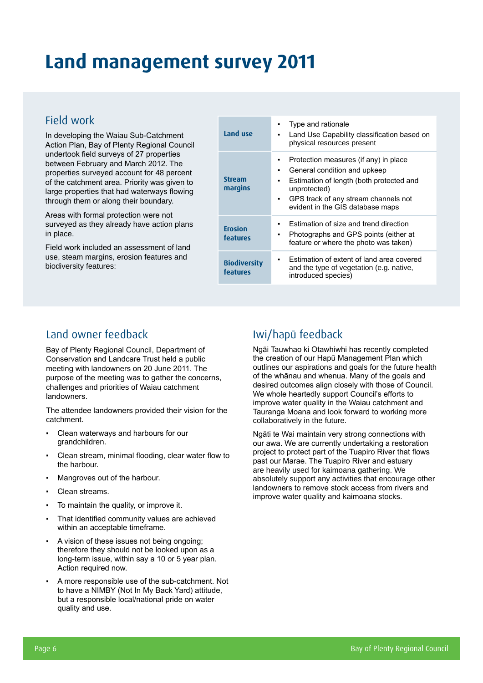### **Land management survey 2011**

#### Field work

In developing the Waiau Sub-Catchment Action Plan, Bay of Plenty Regional Council undertook field surveys of 27 properties between February and March 2012. The properties surveyed account for 48 percent of the catchment area. Priority was given to large properties that had waterways flowing through them or along their boundary.

Areas with formal protection were not surveyed as they already have action plans in place.

Field work included an assessment of land use, steam margins, erosion features and biodiversity features:

| Land use                        | Type and rationale<br>Land Use Capability classification based on<br>٠<br>physical resources present                                                                                                                              |
|---------------------------------|-----------------------------------------------------------------------------------------------------------------------------------------------------------------------------------------------------------------------------------|
| <b>Stream</b><br>margins        | Protection measures (if any) in place<br>٠<br>General condition and upkeep<br>٠<br>Estimation of length (both protected and<br>٠<br>unprotected)<br>GPS track of any stream channels not<br>٠<br>evident in the GIS database maps |
| <b>Erosion</b><br>features      | Estimation of size and trend direction<br>٠<br>Photographs and GPS points (either at<br>٠<br>feature or where the photo was taken)                                                                                                |
| <b>Biodiversity</b><br>features | Estimation of extent of land area covered<br>and the type of vegetation (e.g. native,<br>introduced species)                                                                                                                      |

### Land owner feedback

Bay of Plenty Regional Council, Department of Conservation and Landcare Trust held a public meeting with landowners on 20 June 2011. The purpose of the meeting was to gather the concerns, challenges and priorities of Waiau catchment landowners.

The attendee landowners provided their vision for the catchment.

- Clean waterways and harbours for our grandchildren.
- Clean stream, minimal flooding, clear water flow to the harbour.
- Mangroves out of the harbour.
- Clean streams.
- To maintain the quality, or improve it.
- That identified community values are achieved within an acceptable timeframe.
- A vision of these issues not being ongoing; therefore they should not be looked upon as a long-term issue, within say a 10 or 5 year plan. Action required now.
- A more responsible use of the sub-catchment. Not to have a NIMBY (Not In My Back Yard) attitude, but a responsible local/national pride on water quality and use.

### Iwi/hapū feedback

Ngāi Tauwhao ki Otawhiwhi has recently completed the creation of our Hapū Management Plan which outlines our aspirations and goals for the future health of the whānau and whenua. Many of the goals and desired outcomes align closely with those of Council. We whole heartedly support Council's efforts to improve water quality in the Waiau catchment and Tauranga Moana and look forward to working more collaboratively in the future.

Ngāti te Wai maintain very strong connections with our awa. We are currently undertaking a restoration project to protect part of the Tuapiro River that flows past our Marae. The Tuapiro River and estuary are heavily used for kaimoana gathering. We absolutely support any activities that encourage other landowners to remove stock access from rivers and improve water quality and kaimoana stocks.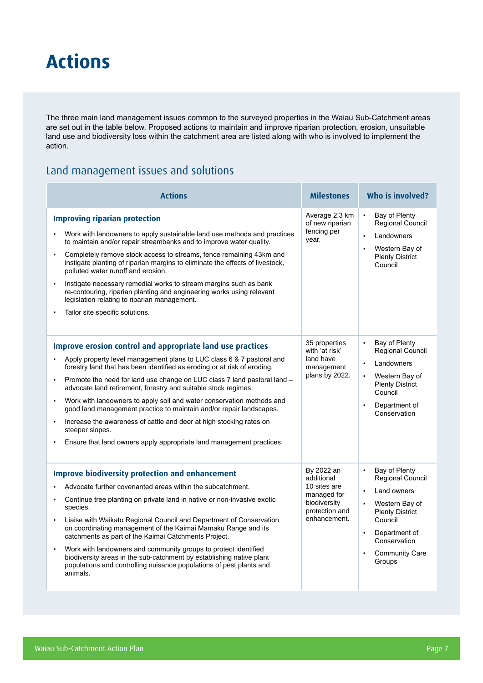### **Actions**

The three main land management issues common to the surveyed properties in the Waiau Sub-Catchment areas are set out in the table below. Proposed actions to maintain and improve riparian protection, erosion, unsuitable land use and biodiversity loss within the catchment area are listed along with who is involved to implement the action.

#### Land management issues and solutions

| <b>Actions</b>                                                                                                                                                                                                                                                                                                                                                                                                                                                                                                                                                                                                                                                                                                                                                 | <b>Milestones</b>                                                                                         | Who is involved?                                                                                                                                                                                                                                    |  |  |
|----------------------------------------------------------------------------------------------------------------------------------------------------------------------------------------------------------------------------------------------------------------------------------------------------------------------------------------------------------------------------------------------------------------------------------------------------------------------------------------------------------------------------------------------------------------------------------------------------------------------------------------------------------------------------------------------------------------------------------------------------------------|-----------------------------------------------------------------------------------------------------------|-----------------------------------------------------------------------------------------------------------------------------------------------------------------------------------------------------------------------------------------------------|--|--|
| <b>Improving riparian protection</b><br>Work with landowners to apply sustainable land use methods and practices<br>to maintain and/or repair streambanks and to improve water quality.<br>Completely remove stock access to streams, fence remaining 43km and<br>instigate planting of riparian margins to eliminate the effects of livestock,<br>polluted water runoff and erosion.<br>Instigate necessary remedial works to stream margins such as bank<br>$\blacksquare$<br>re-contouring, riparian planting and engineering works using relevant<br>legislation relating to riparian management.<br>Tailor site specific solutions.                                                                                                                       | Average 2.3 km<br>of new riparian<br>fencing per<br>year.                                                 | Bay of Plenty<br>$\bullet$<br>Regional Council<br>Landowners<br>$\blacksquare$<br>Western Bay of<br><b>Plenty District</b><br>Council                                                                                                               |  |  |
| <b>Improve erosion control and appropriate land use practices</b><br>Apply property level management plans to LUC class 6 & 7 pastoral and<br>$\blacksquare$<br>forestry land that has been identified as eroding or at risk of eroding.<br>Promote the need for land use change on LUC class 7 land pastoral land -<br>$\blacksquare$<br>advocate land retirement, forestry and suitable stock regimes.<br>Work with landowners to apply soil and water conservation methods and<br>$\blacksquare$<br>good land management practice to maintain and/or repair landscapes.<br>Increase the awareness of cattle and deer at high stocking rates on<br>$\blacksquare$<br>steeper slopes.<br>Ensure that land owners apply appropriate land management practices. | 35 properties<br>with 'at risk'<br>land have<br>management<br>plans by 2022.                              | Bay of Plenty<br>$\blacksquare$<br>Regional Council<br>Landowners<br>$\blacksquare$<br>Western Bay of<br>$\blacksquare$<br><b>Plenty District</b><br>Council<br>Department of<br>$\blacksquare$<br>Conservation                                     |  |  |
| <b>Improve biodiversity protection and enhancement</b><br>Advocate further covenanted areas within the subcatchment.<br>Continue tree planting on private land in native or non-invasive exotic<br>$\blacksquare$<br>species.<br>Liaise with Waikato Regional Council and Department of Conservation<br>$\blacksquare$<br>on coordinating management of the Kaimai Mamaku Range and its<br>catchments as part of the Kaimai Catchments Project.<br>Work with landowners and community groups to protect identified<br>$\blacksquare$<br>biodiversity areas in the sub-catchment by establishing native plant<br>populations and controlling nuisance populations of pest plants and<br>animals.                                                                | By 2022 an<br>additional<br>10 sites are<br>managed for<br>biodiversity<br>protection and<br>enhancement. | Bay of Plenty<br>$\blacksquare$<br>Regional Council<br>Land owners<br>$\blacksquare$<br>Western Bay of<br>$\blacksquare$<br><b>Plenty District</b><br>Council<br>Department of<br>$\blacksquare$<br>Conservation<br><b>Community Care</b><br>Groups |  |  |